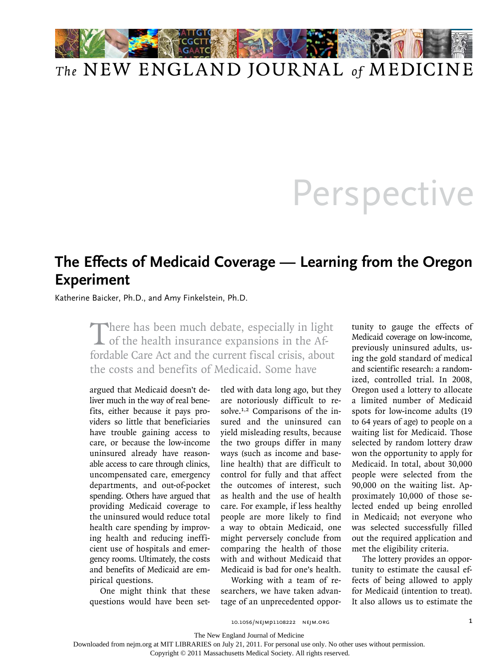

## *The* NEW ENGLAND JOURNAL *of* MEDICINE

## **Perspective**

## **The Effects of Medicaid Coverage — Learning from the Oregon Experiment**

Katherine Baicker, Ph.D., and Amy Finkelstein, Ph.D.

There has been much debate, especially in light<br>of the health insurance expansions in the Affordable Care Act and the current fiscal crisis, about the costs and benefits of Medicaid. Some have

argued that Medicaid doesn't deliver much in the way of real benefits, either because it pays providers so little that beneficiaries have trouble gaining access to care, or because the low-income uninsured already have reasonable access to care through clinics, uncompensated care, emergency departments, and out-of-pocket spending. Others have argued that providing Medicaid coverage to the uninsured would reduce total health care spending by improving health and reducing inefficient use of hospitals and emergency rooms. Ultimately, the costs and benefits of Medicaid are empirical questions.

One might think that these questions would have been settled with data long ago, but they are notoriously difficult to resolve.1,2 Comparisons of the insured and the uninsured can yield misleading results, because the two groups differ in many ways (such as income and baseline health) that are difficult to control for fully and that affect the outcomes of interest, such as health and the use of health care. For example, if less healthy people are more likely to find a way to obtain Medicaid, one might perversely conclude from comparing the health of those with and without Medicaid that Medicaid is bad for one's health.

Working with a team of researchers, we have taken advantage of an unprecedented oppor-

tunity to gauge the effects of Medicaid coverage on low-income, previously uninsured adults, using the gold standard of medical and scientific research: a randomized, controlled trial. In 2008, Oregon used a lottery to allocate a limited number of Medicaid spots for low-income adults (19 to 64 years of age) to people on a waiting list for Medicaid. Those selected by random lottery draw won the opportunity to apply for Medicaid. In total, about 30,000 people were selected from the 90,000 on the waiting list. Approximately 10,000 of those selected ended up being enrolled in Medicaid; not everyone who was selected successfully filled out the required application and met the eligibility criteria.

The lottery provides an opportunity to estimate the causal effects of being allowed to apply for Medicaid (intention to treat). It also allows us to estimate the

10.1056/nejmp1108222 nejm.org 1

The New England Journal of Medicine

Downloaded from nejm.org at MIT LIBRARIES on July 21, 2011. For personal use only. No other uses without permission.

Copyright © 2011 Massachusetts Medical Society. All rights reserved.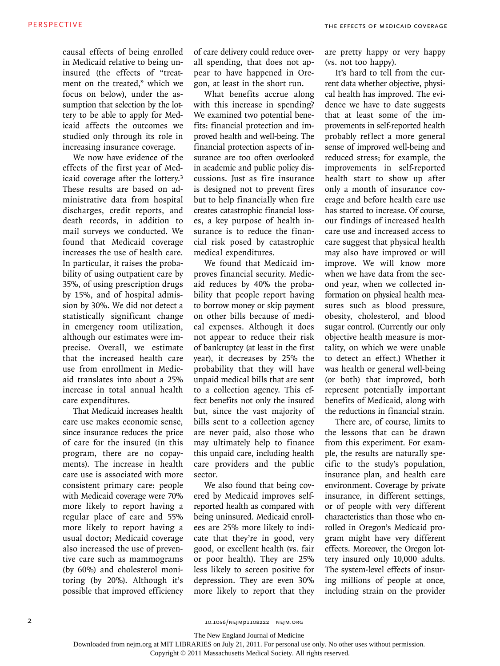causal effects of being enrolled in Medicaid relative to being uninsured (the effects of "treatment on the treated," which we focus on below), under the assumption that selection by the lottery to be able to apply for Medicaid affects the outcomes we studied only through its role in increasing insurance coverage.

We now have evidence of the effects of the first year of Medicaid coverage after the lottery.<sup>3</sup> These results are based on administrative data from hospital discharges, credit reports, and death records, in addition to mail surveys we conducted. We found that Medicaid coverage increases the use of health care. In particular, it raises the probability of using outpatient care by 35%, of using prescription drugs by 15%, and of hospital admission by 30%. We did not detect a statistically significant change in emergency room utilization, although our estimates were imprecise. Overall, we estimate that the increased health care use from enrollment in Medicaid translates into about a 25% increase in total annual health care expenditures.

That Medicaid increases health care use makes economic sense, since insurance reduces the price of care for the insured (in this program, there are no copayments). The increase in health care use is associated with more consistent primary care: people with Medicaid coverage were 70% more likely to report having a regular place of care and 55% more likely to report having a usual doctor; Medicaid coverage also increased the use of preventive care such as mammograms (by 60%) and cholesterol monitoring (by 20%). Although it's possible that improved efficiency

of care delivery could reduce overall spending, that does not appear to have happened in Oregon, at least in the short run.

What benefits accrue along with this increase in spending? We examined two potential benefits: financial protection and improved health and well-being. The financial protection aspects of insurance are too often overlooked in academic and public policy discussions. Just as fire insurance is designed not to prevent fires but to help financially when fire creates catastrophic financial losses, a key purpose of health insurance is to reduce the financial risk posed by catastrophic medical expenditures.

We found that Medicaid improves financial security. Medicaid reduces by 40% the probability that people report having to borrow money or skip payment on other bills because of medical expenses. Although it does not appear to reduce their risk of bankruptcy (at least in the first year), it decreases by 25% the probability that they will have unpaid medical bills that are sent to a collection agency. This effect benefits not only the insured but, since the vast majority of bills sent to a collection agency are never paid, also those who may ultimately help to finance this unpaid care, including health care providers and the public sector.

We also found that being covered by Medicaid improves selfreported health as compared with being uninsured. Medicaid enrollees are 25% more likely to indicate that they're in good, very good, or excellent health (vs. fair or poor health). They are 25% less likely to screen positive for depression. They are even 30% more likely to report that they are pretty happy or very happy (vs. not too happy).

It's hard to tell from the current data whether objective, physical health has improved. The evidence we have to date suggests that at least some of the improvements in self-reported health probably reflect a more general sense of improved well-being and reduced stress; for example, the improvements in self-reported health start to show up after only a month of insurance coverage and before health care use has started to increase. Of course, our findings of increased health care use and increased access to care suggest that physical health may also have improved or will improve. We will know more when we have data from the second year, when we collected information on physical health measures such as blood pressure, obesity, cholesterol, and blood sugar control. (Currently our only objective health measure is mortality, on which we were unable to detect an effect.) Whether it was health or general well-being (or both) that improved, both represent potentially important benefits of Medicaid, along with the reductions in financial strain.

There are, of course, limits to the lessons that can be drawn from this experiment. For example, the results are naturally specific to the study's population, insurance plan, and health care environment. Coverage by private insurance, in different settings, or of people with very different characteristics than those who enrolled in Oregon's Medicaid program might have very different effects. Moreover, the Oregon lottery insured only 10,000 adults. The system-level effects of insuring millions of people at once, including strain on the provider

The New England Journal of Medicine

Copyright © 2011 Massachusetts Medical Society. All rights reserved.